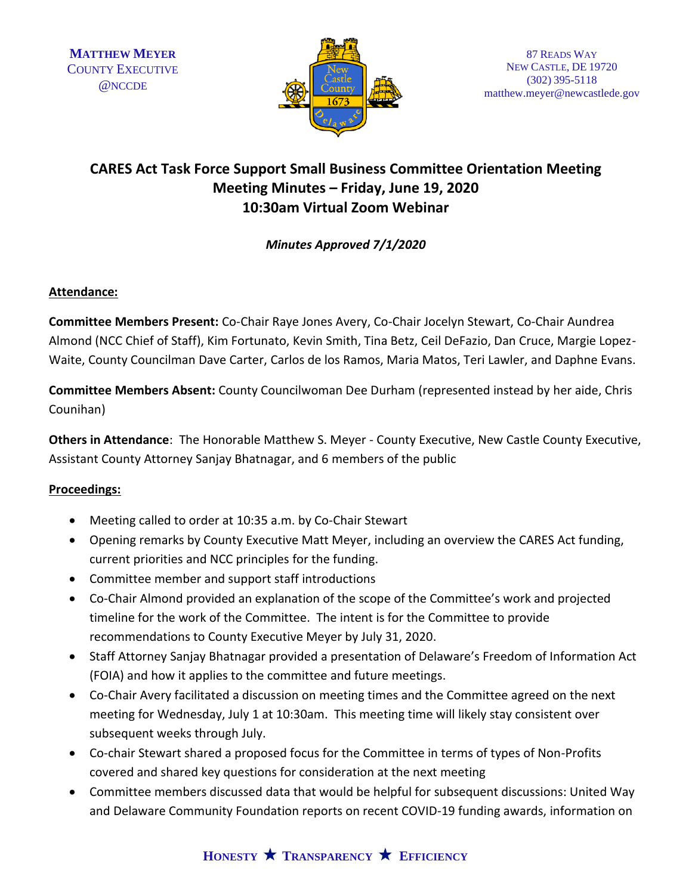

# **CARES Act Task Force Support Small Business Committee Orientation Meeting Meeting Minutes – Friday, June 19, 2020 10:30am Virtual Zoom Webinar**

## *Minutes Approved 7/1/2020*

### **Attendance:**

**Committee Members Present:** Co-Chair Raye Jones Avery, Co-Chair Jocelyn Stewart, Co-Chair Aundrea Almond (NCC Chief of Staff), Kim Fortunato, Kevin Smith, Tina Betz, Ceil DeFazio, Dan Cruce, Margie Lopez-Waite, County Councilman Dave Carter, Carlos de los Ramos, Maria Matos, Teri Lawler, and Daphne Evans.

**Committee Members Absent:** County Councilwoman Dee Durham (represented instead by her aide, Chris Counihan)

**Others in Attendance**: The Honorable Matthew S. Meyer - County Executive, New Castle County Executive, Assistant County Attorney Sanjay Bhatnagar, and 6 members of the public

### **Proceedings:**

- Meeting called to order at 10:35 a.m. by Co-Chair Stewart
- Opening remarks by County Executive Matt Meyer, including an overview the CARES Act funding, current priorities and NCC principles for the funding.
- Committee member and support staff introductions
- Co-Chair Almond provided an explanation of the scope of the Committee's work and projected timeline for the work of the Committee. The intent is for the Committee to provide recommendations to County Executive Meyer by July 31, 2020.
- Staff Attorney Sanjay Bhatnagar provided a presentation of Delaware's Freedom of Information Act (FOIA) and how it applies to the committee and future meetings.
- Co-Chair Avery facilitated a discussion on meeting times and the Committee agreed on the next meeting for Wednesday, July 1 at 10:30am. This meeting time will likely stay consistent over subsequent weeks through July.
- Co-chair Stewart shared a proposed focus for the Committee in terms of types of Non-Profits covered and shared key questions for consideration at the next meeting
- Committee members discussed data that would be helpful for subsequent discussions: United Way and Delaware Community Foundation reports on recent COVID-19 funding awards, information on